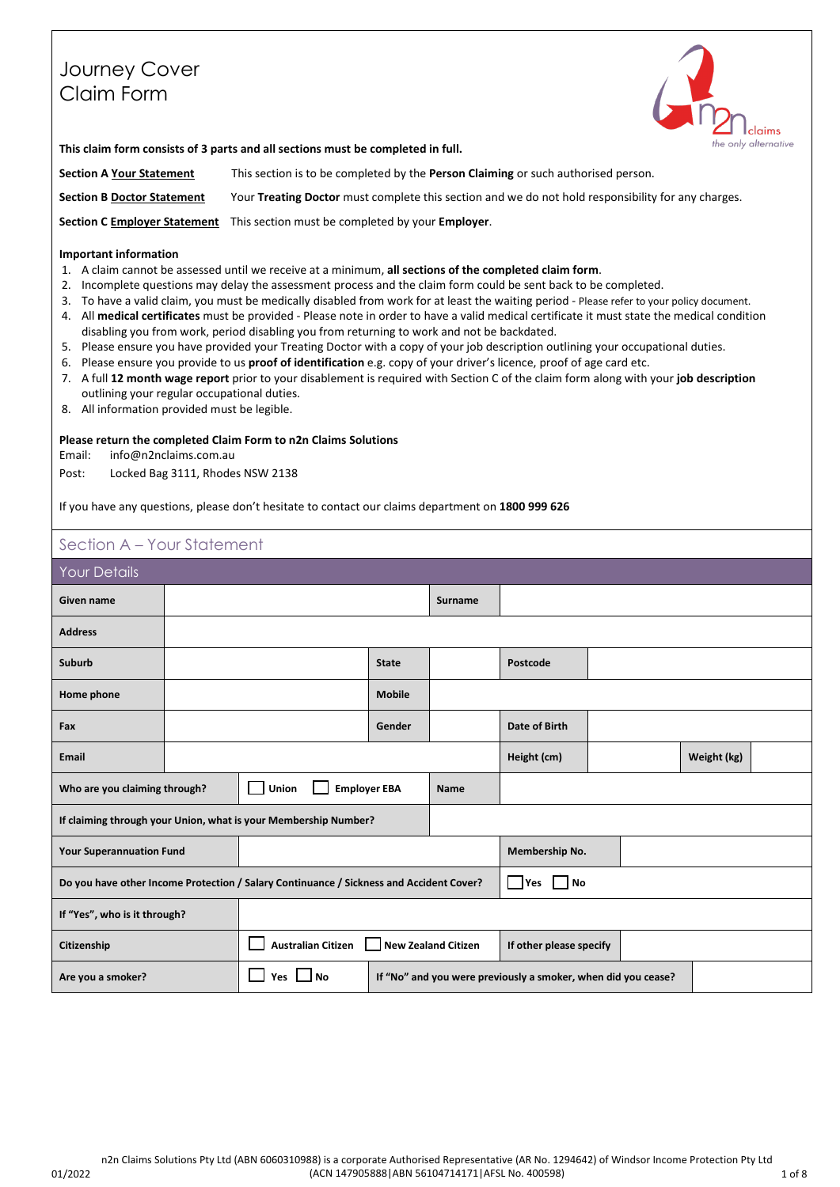# Journey Cover Claim Form



**This claim form consists of 3 parts and all sections must be completed in full.**

**Section A Your Statement** This section is to be completed by the **Person Claiming** or such authorised person. **Section B Doctor Statement** Your **Treating Doctor** must complete this section and we do not hold responsibility for any charges.

**Section C Employer Statement** This section must be completed by your **Employer**.

### **Important information**

- 1. A claim cannot be assessed until we receive at a minimum, **all sections of the completed claim form**.
- 2. Incomplete questions may delay the assessment process and the claim form could be sent back to be completed.
- 3. To have a valid claim, you must be medically disabled from work for at least the waiting period Please refer to your policy document.
- 4. All **medical certificates** must be provided Please note in order to have a valid medical certificate it must state the medical condition disabling you from work, period disabling you from returning to work and not be backdated.
- 5. Please ensure you have provided your Treating Doctor with a copy of your job description outlining your occupational duties.
- 6. Please ensure you provide to us **proof of identification** e.g. copy of your driver's licence, proof of age card etc.
- 7. A full **12 month wage report** prior to your disablement is required with Section C of the claim form along with your **job description** outlining your regular occupational duties.
- 8. All information provided must be legible.

### **Please return the completed Claim Form to n2n Claims Solutions**

Email: info@n2nclaims.com.au

Post: Locked Bag 3111, Rhodes NSW 2138

If you have any questions, please don't hesitate to contact our claims department on **1800 999 626**

## Section A – Your Statement

| <b>Your Details</b>                                                                             |  |                                                                 |                    |                            |                         |  |             |  |  |  |  |  |
|-------------------------------------------------------------------------------------------------|--|-----------------------------------------------------------------|--------------------|----------------------------|-------------------------|--|-------------|--|--|--|--|--|
| Given name                                                                                      |  |                                                                 |                    | Surname                    |                         |  |             |  |  |  |  |  |
| <b>Address</b>                                                                                  |  |                                                                 |                    |                            |                         |  |             |  |  |  |  |  |
| Suburb                                                                                          |  |                                                                 | <b>State</b>       |                            | Postcode                |  |             |  |  |  |  |  |
| Home phone                                                                                      |  |                                                                 | <b>Mobile</b>      |                            |                         |  |             |  |  |  |  |  |
| Fax                                                                                             |  |                                                                 | Gender             |                            | <b>Date of Birth</b>    |  |             |  |  |  |  |  |
| <b>Email</b>                                                                                    |  |                                                                 |                    |                            |                         |  | Weight (kg) |  |  |  |  |  |
| <b>Employer EBA</b><br>Union<br>Who are you claiming through?<br><b>Name</b>                    |  |                                                                 |                    |                            |                         |  |             |  |  |  |  |  |
|                                                                                                 |  | If claiming through your Union, what is your Membership Number? |                    |                            |                         |  |             |  |  |  |  |  |
| <b>Your Superannuation Fund</b>                                                                 |  |                                                                 |                    |                            | Membership No.          |  |             |  |  |  |  |  |
| Do you have other Income Protection / Salary Continuance / Sickness and Accident Cover?         |  |                                                                 | l No<br><b>Yes</b> |                            |                         |  |             |  |  |  |  |  |
| If "Yes", who is it through?                                                                    |  |                                                                 |                    |                            |                         |  |             |  |  |  |  |  |
| <b>Australian Citizen</b><br>Citizenship                                                        |  |                                                                 |                    | <b>New Zealand Citizen</b> | If other please specify |  |             |  |  |  |  |  |
| No<br>Yes<br>Are you a smoker?<br>If "No" and you were previously a smoker, when did you cease? |  |                                                                 |                    |                            |                         |  |             |  |  |  |  |  |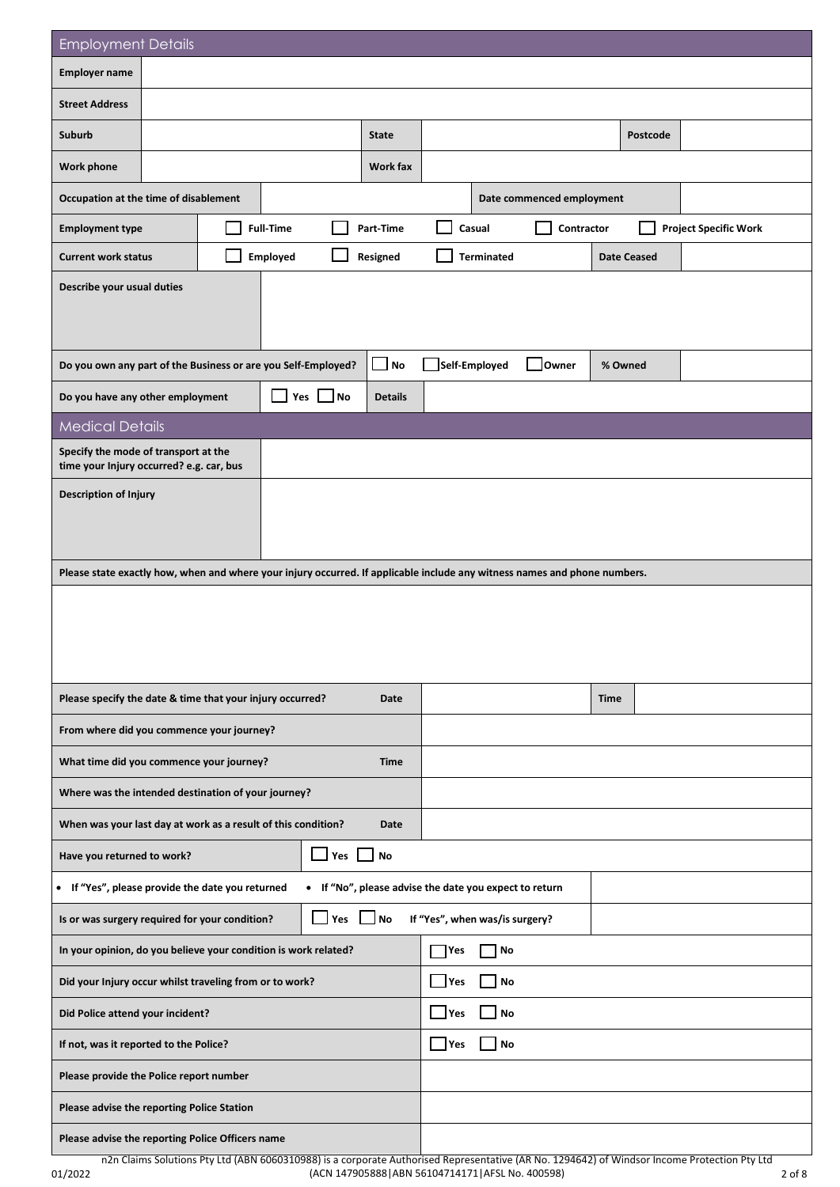| <b>Employment Details</b>                                                                                                 |  |  |                  |                     |                                                        |                                |                   |                           |                    |          |                              |
|---------------------------------------------------------------------------------------------------------------------------|--|--|------------------|---------------------|--------------------------------------------------------|--------------------------------|-------------------|---------------------------|--------------------|----------|------------------------------|
| <b>Employer name</b>                                                                                                      |  |  |                  |                     |                                                        |                                |                   |                           |                    |          |                              |
| <b>Street Address</b>                                                                                                     |  |  |                  |                     |                                                        |                                |                   |                           |                    |          |                              |
| Suburb                                                                                                                    |  |  |                  |                     | <b>State</b>                                           |                                |                   |                           |                    | Postcode |                              |
| Work phone                                                                                                                |  |  |                  | Work fax            |                                                        |                                |                   |                           |                    |          |                              |
| Occupation at the time of disablement                                                                                     |  |  |                  |                     |                                                        |                                |                   | Date commenced employment |                    |          |                              |
| <b>Employment type</b>                                                                                                    |  |  | <b>Full-Time</b> |                     | Part-Time                                              |                                | Casual            | Contractor                |                    |          | <b>Project Specific Work</b> |
| <b>Current work status</b>                                                                                                |  |  | Employed         |                     | Resigned                                               |                                | <b>Terminated</b> |                           | <b>Date Ceased</b> |          |                              |
| Describe your usual duties                                                                                                |  |  |                  |                     |                                                        |                                |                   |                           |                    |          |                              |
| Do you own any part of the Business or are you Self-Employed?                                                             |  |  |                  |                     | $\Box$ No                                              |                                | Self-Employed     | Owner                     | % Owned            |          |                              |
| Do you have any other employment                                                                                          |  |  | Yes              | N <sub>O</sub>      | <b>Details</b>                                         |                                |                   |                           |                    |          |                              |
| <b>Medical Details</b>                                                                                                    |  |  |                  |                     |                                                        |                                |                   |                           |                    |          |                              |
| Specify the mode of transport at the<br>time your Injury occurred? e.g. car, bus                                          |  |  |                  |                     |                                                        |                                |                   |                           |                    |          |                              |
| <b>Description of Injury</b>                                                                                              |  |  |                  |                     |                                                        |                                |                   |                           |                    |          |                              |
| Please state exactly how, when and where your injury occurred. If applicable include any witness names and phone numbers. |  |  |                  |                     |                                                        |                                |                   |                           |                    |          |                              |
|                                                                                                                           |  |  |                  |                     |                                                        |                                |                   |                           |                    |          |                              |
| Please specify the date & time that your injury occurred?                                                                 |  |  |                  |                     | Date                                                   |                                |                   |                           | <b>Time</b>        |          |                              |
| From where did you commence your journey?                                                                                 |  |  |                  |                     |                                                        |                                |                   |                           |                    |          |                              |
| What time did you commence your journey?                                                                                  |  |  |                  |                     | <b>Time</b>                                            |                                |                   |                           |                    |          |                              |
| Where was the intended destination of your journey?                                                                       |  |  |                  |                     |                                                        |                                |                   |                           |                    |          |                              |
| When was your last day at work as a result of this condition?                                                             |  |  |                  |                     | Date                                                   |                                |                   |                           |                    |          |                              |
| Have you returned to work?                                                                                                |  |  |                  | $\mathbf{I}$<br>Yes | No                                                     |                                |                   |                           |                    |          |                              |
| • If "Yes", please provide the date you returned                                                                          |  |  |                  |                     | • If "No", please advise the date you expect to return |                                |                   |                           |                    |          |                              |
| Is or was surgery required for your condition?                                                                            |  |  |                  | <b>Nes</b>          | ⊿No                                                    | If "Yes", when was/is surgery? |                   |                           |                    |          |                              |
| In your opinion, do you believe your condition is work related?                                                           |  |  |                  |                     |                                                        | l Yes                          | No                |                           |                    |          |                              |
| Did your Injury occur whilst traveling from or to work?                                                                   |  |  |                  |                     |                                                        | Yes                            | No                |                           |                    |          |                              |
| Did Police attend your incident?                                                                                          |  |  |                  |                     | Yes                                                    | No                             |                   |                           |                    |          |                              |
| If not, was it reported to the Police?                                                                                    |  |  |                  |                     |                                                        | Yes                            | No                |                           |                    |          |                              |
| Please provide the Police report number                                                                                   |  |  |                  |                     |                                                        |                                |                   |                           |                    |          |                              |
| Please advise the reporting Police Station                                                                                |  |  |                  |                     |                                                        |                                |                   |                           |                    |          |                              |
| Please advise the reporting Police Officers name                                                                          |  |  |                  |                     |                                                        |                                |                   |                           |                    |          |                              |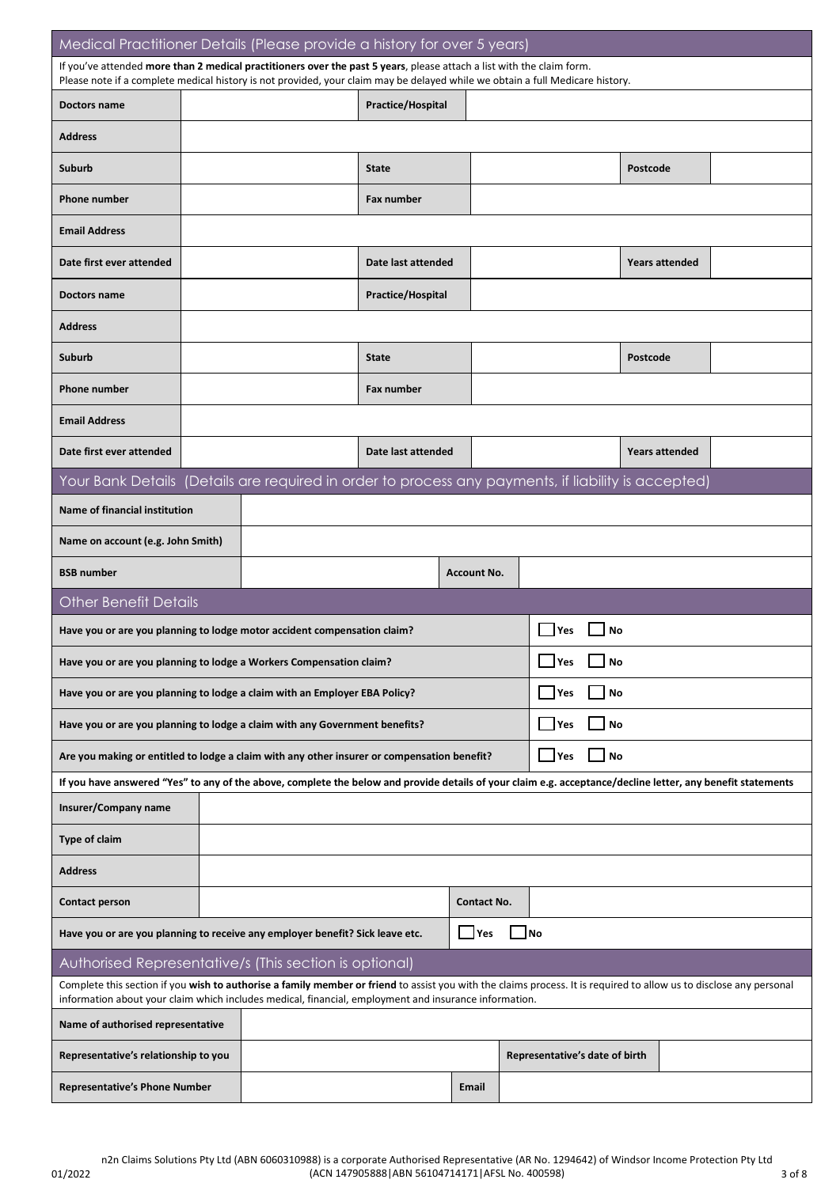| Medical Practitioner Details (Please provide a history for over 5 years)                                                                                                                                                                                                     |  |  |                          |                       |     |                                      |                       |  |
|------------------------------------------------------------------------------------------------------------------------------------------------------------------------------------------------------------------------------------------------------------------------------|--|--|--------------------------|-----------------------|-----|--------------------------------------|-----------------------|--|
| If you've attended more than 2 medical practitioners over the past 5 years, please attach a list with the claim form.<br>Please note if a complete medical history is not provided, your claim may be delayed while we obtain a full Medicare history.                       |  |  |                          |                       |     |                                      |                       |  |
| Doctors name                                                                                                                                                                                                                                                                 |  |  | Practice/Hospital        |                       |     |                                      |                       |  |
| <b>Address</b>                                                                                                                                                                                                                                                               |  |  |                          |                       |     |                                      |                       |  |
| Suburb                                                                                                                                                                                                                                                                       |  |  | <b>State</b>             |                       |     |                                      | Postcode              |  |
| <b>Phone number</b>                                                                                                                                                                                                                                                          |  |  | Fax number               |                       |     |                                      |                       |  |
| <b>Email Address</b>                                                                                                                                                                                                                                                         |  |  |                          |                       |     |                                      |                       |  |
| Date first ever attended                                                                                                                                                                                                                                                     |  |  | Date last attended       | <b>Years attended</b> |     |                                      |                       |  |
| Doctors name                                                                                                                                                                                                                                                                 |  |  | <b>Practice/Hospital</b> |                       |     |                                      |                       |  |
| <b>Address</b>                                                                                                                                                                                                                                                               |  |  |                          |                       |     |                                      |                       |  |
| Suburb                                                                                                                                                                                                                                                                       |  |  | <b>State</b>             |                       |     |                                      | Postcode              |  |
| <b>Phone number</b>                                                                                                                                                                                                                                                          |  |  | <b>Fax number</b>        |                       |     |                                      |                       |  |
| <b>Email Address</b>                                                                                                                                                                                                                                                         |  |  |                          |                       |     |                                      |                       |  |
| Date first ever attended                                                                                                                                                                                                                                                     |  |  | Date last attended       |                       |     |                                      | <b>Years attended</b> |  |
| Your Bank Details (Details are required in order to process any payments, if liability is accepted)                                                                                                                                                                          |  |  |                          |                       |     |                                      |                       |  |
| <b>Name of financial institution</b>                                                                                                                                                                                                                                         |  |  |                          |                       |     |                                      |                       |  |
| Name on account (e.g. John Smith)                                                                                                                                                                                                                                            |  |  |                          |                       |     |                                      |                       |  |
| <b>BSB number</b>                                                                                                                                                                                                                                                            |  |  |                          | <b>Account No.</b>    |     |                                      |                       |  |
| <b>Other Benefit Details</b>                                                                                                                                                                                                                                                 |  |  |                          |                       |     |                                      |                       |  |
| Have you or are you planning to lodge motor accident compensation claim?                                                                                                                                                                                                     |  |  |                          |                       | Yes | No                                   |                       |  |
| Have you or are you planning to lodge a Workers Compensation claim?                                                                                                                                                                                                          |  |  |                          |                       |     | $\sqrt{}$ Yes $\sqrt{}$<br><b>No</b> |                       |  |
| Have you or are you planning to lodge a claim with an Employer EBA Policy?                                                                                                                                                                                                   |  |  |                          |                       |     | <b>Yes</b><br>No                     |                       |  |
| Have you or are you planning to lodge a claim with any Government benefits?                                                                                                                                                                                                  |  |  |                          |                       |     | <b>Yes</b><br>No                     |                       |  |
| Are you making or entitled to lodge a claim with any other insurer or compensation benefit?                                                                                                                                                                                  |  |  |                          |                       |     | <b>Yes</b><br>No                     |                       |  |
| If you have answered "Yes" to any of the above, complete the below and provide details of your claim e.g. acceptance/decline letter, any benefit statements                                                                                                                  |  |  |                          |                       |     |                                      |                       |  |
| Insurer/Company name                                                                                                                                                                                                                                                         |  |  |                          |                       |     |                                      |                       |  |
| <b>Type of claim</b>                                                                                                                                                                                                                                                         |  |  |                          |                       |     |                                      |                       |  |
| <b>Address</b>                                                                                                                                                                                                                                                               |  |  |                          |                       |     |                                      |                       |  |
| <b>Contact person</b>                                                                                                                                                                                                                                                        |  |  |                          | <b>Contact No.</b>    |     |                                      |                       |  |
| Have you or are you planning to receive any employer benefit? Sick leave etc.                                                                                                                                                                                                |  |  |                          | $\Box$ Yes            | ∐No |                                      |                       |  |
| Authorised Representative/s (This section is optional)                                                                                                                                                                                                                       |  |  |                          |                       |     |                                      |                       |  |
| Complete this section if you wish to authorise a family member or friend to assist you with the claims process. It is required to allow us to disclose any personal<br>information about your claim which includes medical, financial, employment and insurance information. |  |  |                          |                       |     |                                      |                       |  |
| Name of authorised representative                                                                                                                                                                                                                                            |  |  |                          |                       |     |                                      |                       |  |
| Representative's relationship to you                                                                                                                                                                                                                                         |  |  |                          |                       |     | Representative's date of birth       |                       |  |
| <b>Representative's Phone Number</b>                                                                                                                                                                                                                                         |  |  |                          | Email                 |     |                                      |                       |  |

01/2022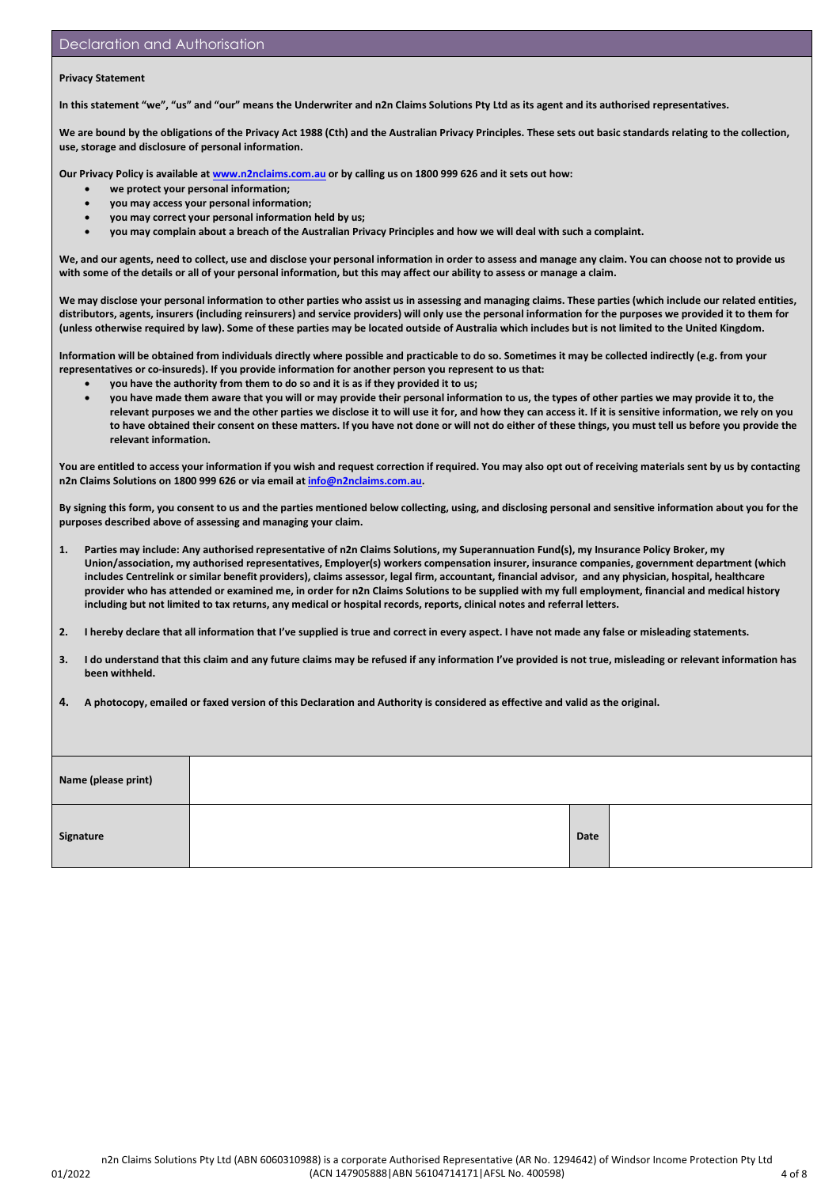#### **Privacy Statement**

**In this statement "we", "us" and "our" means the Underwriter and n2n Claims Solutions Pty Ltd as its agent and its authorised representatives.** 

We are bound by the obligations of the Privacy Act 1988 (Cth) and the Australian Privacy Principles. These sets out basic standards relating to the collection, **use, storage and disclosure of personal information.** 

**Our Privacy Policy is available a[t www.n2nclaims.com.au](http://www.n2nclaims.com.au/) or by calling us on 1800 999 626 and it sets out how:** 

- **we protect your personal information;**
- **you may access your personal information;**
- **you may correct your personal information held by us;**
- **you may complain about a breach of the Australian Privacy Principles and how we will deal with such a complaint.**

**We, and our agents, need to collect, use and disclose your personal information in order to assess and manage any claim. You can choose not to provide us with some of the details or all of your personal information, but this may affect our ability to assess or manage a claim.** 

**We may disclose your personal information to other parties who assist us in assessing and managing claims. These parties (which include our related entities, distributors, agents, insurers (including reinsurers) and service providers) will only use the personal information for the purposes we provided it to them for (unless otherwise required by law). Some of these parties may be located outside of Australia which includes but is not limited to the United Kingdom.**

**Information will be obtained from individuals directly where possible and practicable to do so. Sometimes it may be collected indirectly (e.g. from your representatives or co-insureds). If you provide information for another person you represent to us that:** 

- **you have the authority from them to do so and it is as if they provided it to us;**
- **you have made them aware that you will or may provide their personal information to us, the types of other parties we may provide it to, the relevant purposes we and the other parties we disclose it to will use it for, and how they can access it. If it is sensitive information, we rely on you to have obtained their consent on these matters. If you have not done or will not do either of these things, you must tell us before you provide the relevant information.**

You are entitled to access your information if you wish and request correction if required. You may also opt out of receiving materials sent by us by contacting **n2n Claims Solutions on 1800 999 626 or via email a[t info@n2nclaims.com.au.](mailto:info@n2nclaims.com.au)** 

**By signing this form, you consent to us and the parties mentioned below collecting, using, and disclosing personal and sensitive information about you for the purposes described above of assessing and managing your claim.**

- **1. Parties may include: Any authorised representative of n2n Claims Solutions, my Superannuation Fund(s), my Insurance Policy Broker, my Union/association, my authorised representatives, Employer(s) workers compensation insurer, insurance companies, government department (which includes Centrelink or similar benefit providers), claims assessor, legal firm, accountant, financial advisor, and any physician, hospital, healthcare provider who has attended or examined me, in order for n2n Claims Solutions to be supplied with my full employment, financial and medical history including but not limited to tax returns, any medical or hospital records, reports, clinical notes and referral letters.**
- **2. I hereby declare that all information that I've supplied is true and correct in every aspect. I have not made any false or misleading statements.**
- **3. I do understand that this claim and any future claims may be refused if any information I've provided is not true, misleading or relevant information has been withheld.**

**4. A photocopy, emailed or faxed version of this Declaration and Authority is considered as effective and valid as the original.**

| Name (please print) |      |  |
|---------------------|------|--|
| Signature           | Date |  |

01/2022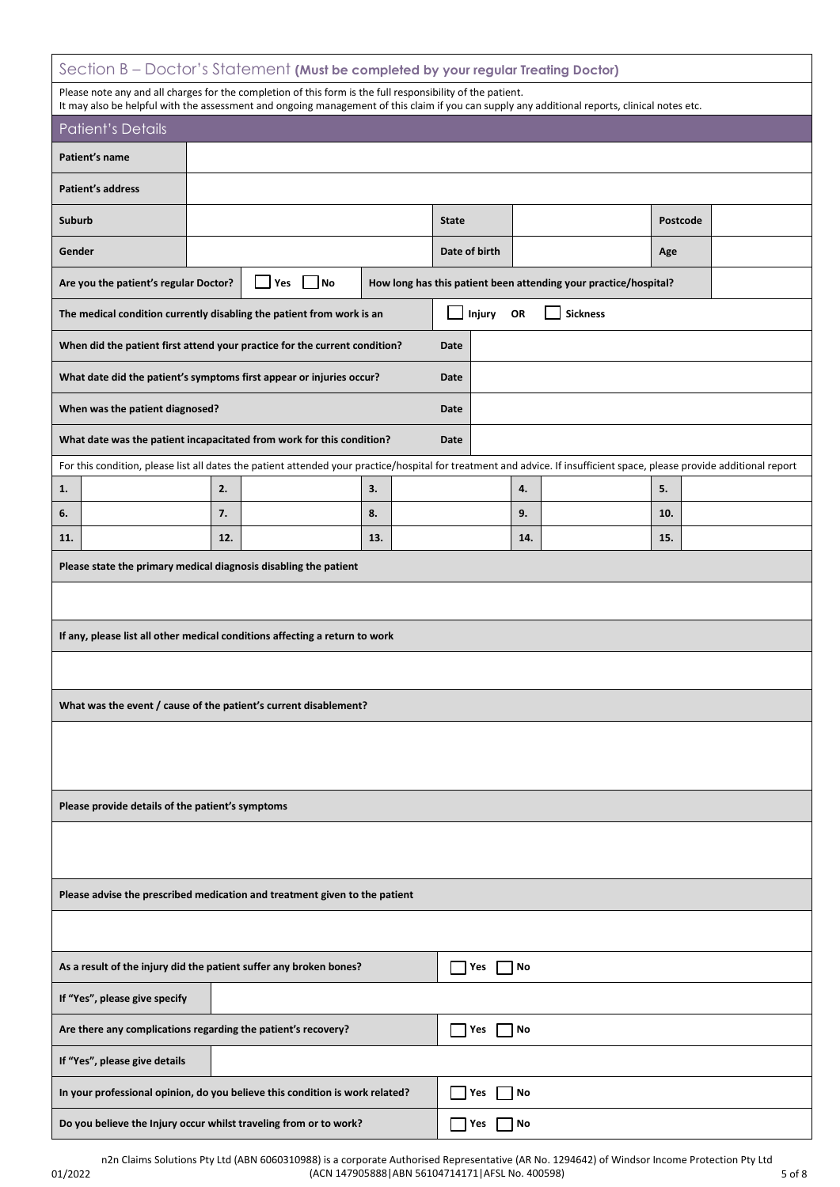### Section B – Doctor's Statement **(Must be completed by your regular Treating Doctor)**

| Section B – Doctor's Statement (Must be completed by your regular Treating Doctor) |                                                                                  |  |                                                                                                                                                                                                                                                             |     |  |              |               |     |                                                                  |          |  |
|------------------------------------------------------------------------------------|----------------------------------------------------------------------------------|--|-------------------------------------------------------------------------------------------------------------------------------------------------------------------------------------------------------------------------------------------------------------|-----|--|--------------|---------------|-----|------------------------------------------------------------------|----------|--|
|                                                                                    |                                                                                  |  | Please note any and all charges for the completion of this form is the full responsibility of the patient.<br>It may also be helpful with the assessment and ongoing management of this claim if you can supply any additional reports, clinical notes etc. |     |  |              |               |     |                                                                  |          |  |
|                                                                                    | <b>Patient's Details</b>                                                         |  |                                                                                                                                                                                                                                                             |     |  |              |               |     |                                                                  |          |  |
|                                                                                    | Patient's name                                                                   |  |                                                                                                                                                                                                                                                             |     |  |              |               |     |                                                                  |          |  |
|                                                                                    | <b>Patient's address</b>                                                         |  |                                                                                                                                                                                                                                                             |     |  |              |               |     |                                                                  |          |  |
| Suburb                                                                             |                                                                                  |  |                                                                                                                                                                                                                                                             |     |  | <b>State</b> |               |     |                                                                  | Postcode |  |
| Gender                                                                             |                                                                                  |  |                                                                                                                                                                                                                                                             |     |  |              | Date of birth |     |                                                                  | Age      |  |
| $\overline{\phantom{a}}$ No<br>Yes<br>Are you the patient's regular Doctor?        |                                                                                  |  |                                                                                                                                                                                                                                                             |     |  |              |               |     | How long has this patient been attending your practice/hospital? |          |  |
|                                                                                    |                                                                                  |  | The medical condition currently disabling the patient from work is an                                                                                                                                                                                       |     |  |              | Injury        | OR  | <b>Sickness</b>                                                  |          |  |
|                                                                                    |                                                                                  |  | When did the patient first attend your practice for the current condition?                                                                                                                                                                                  |     |  | <b>Date</b>  |               |     |                                                                  |          |  |
|                                                                                    |                                                                                  |  | What date did the patient's symptoms first appear or injuries occur?                                                                                                                                                                                        |     |  | Date         |               |     |                                                                  |          |  |
|                                                                                    | When was the patient diagnosed?                                                  |  |                                                                                                                                                                                                                                                             |     |  | Date         |               |     |                                                                  |          |  |
|                                                                                    |                                                                                  |  | What date was the patient incapacitated from work for this condition?                                                                                                                                                                                       |     |  | Date         |               |     |                                                                  |          |  |
|                                                                                    |                                                                                  |  | For this condition, please list all dates the patient attended your practice/hospital for treatment and advice. If insufficient space, please provide additional report                                                                                     |     |  |              |               |     |                                                                  |          |  |
| 1.                                                                                 |                                                                                  |  | 2.                                                                                                                                                                                                                                                          | 3.  |  |              |               | 4.  |                                                                  | 5.       |  |
| 6.                                                                                 |                                                                                  |  | 7.                                                                                                                                                                                                                                                          | 8.  |  |              |               | 9.  |                                                                  | 10.      |  |
| 11.                                                                                |                                                                                  |  | 12.                                                                                                                                                                                                                                                         | 13. |  |              |               | 14. |                                                                  | 15.      |  |
|                                                                                    |                                                                                  |  | Please state the primary medical diagnosis disabling the patient                                                                                                                                                                                            |     |  |              |               |     |                                                                  |          |  |
|                                                                                    |                                                                                  |  |                                                                                                                                                                                                                                                             |     |  |              |               |     |                                                                  |          |  |
|                                                                                    |                                                                                  |  | If any, please list all other medical conditions affecting a return to work                                                                                                                                                                                 |     |  |              |               |     |                                                                  |          |  |
|                                                                                    |                                                                                  |  |                                                                                                                                                                                                                                                             |     |  |              |               |     |                                                                  |          |  |
|                                                                                    |                                                                                  |  | What was the event / cause of the patient's current disablement?                                                                                                                                                                                            |     |  |              |               |     |                                                                  |          |  |
|                                                                                    |                                                                                  |  |                                                                                                                                                                                                                                                             |     |  |              |               |     |                                                                  |          |  |
|                                                                                    |                                                                                  |  |                                                                                                                                                                                                                                                             |     |  |              |               |     |                                                                  |          |  |
|                                                                                    |                                                                                  |  |                                                                                                                                                                                                                                                             |     |  |              |               |     |                                                                  |          |  |
|                                                                                    | Please provide details of the patient's symptoms                                 |  |                                                                                                                                                                                                                                                             |     |  |              |               |     |                                                                  |          |  |
|                                                                                    |                                                                                  |  |                                                                                                                                                                                                                                                             |     |  |              |               |     |                                                                  |          |  |
|                                                                                    |                                                                                  |  | Please advise the prescribed medication and treatment given to the patient                                                                                                                                                                                  |     |  |              |               |     |                                                                  |          |  |
|                                                                                    |                                                                                  |  |                                                                                                                                                                                                                                                             |     |  |              |               |     |                                                                  |          |  |
| As a result of the injury did the patient suffer any broken bones?<br>Yes<br>No    |                                                                                  |  |                                                                                                                                                                                                                                                             |     |  |              |               |     |                                                                  |          |  |
| If "Yes", please give specify                                                      |                                                                                  |  |                                                                                                                                                                                                                                                             |     |  |              |               |     |                                                                  |          |  |
| Are there any complications regarding the patient's recovery?<br>Yes<br>No         |                                                                                  |  |                                                                                                                                                                                                                                                             |     |  |              |               |     |                                                                  |          |  |
| If "Yes", please give details                                                      |                                                                                  |  |                                                                                                                                                                                                                                                             |     |  |              |               |     |                                                                  |          |  |
|                                                                                    |                                                                                  |  | In your professional opinion, do you believe this condition is work related?                                                                                                                                                                                |     |  |              | Yes           | No  |                                                                  |          |  |
|                                                                                    | Do you believe the Injury occur whilst traveling from or to work?<br>  Yes<br>No |  |                                                                                                                                                                                                                                                             |     |  |              |               |     |                                                                  |          |  |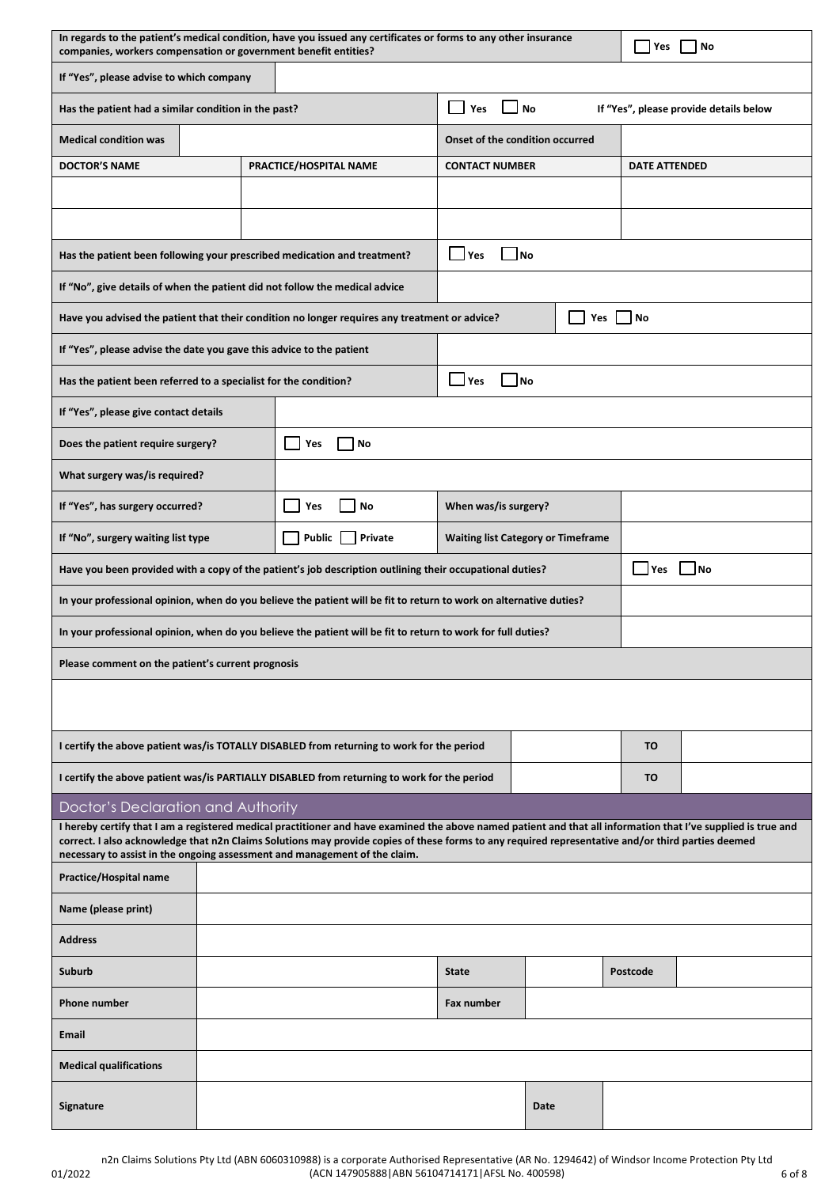|                                                                                                                                                                                                                                                                                                                                                                                                    | In regards to the patient's medical condition, have you issued any certificates or forms to any other insurance<br>Yes<br>No<br>companies, workers compensation or government benefit entities? |                        |                                 |                                              |                      |    |  |  |  |
|----------------------------------------------------------------------------------------------------------------------------------------------------------------------------------------------------------------------------------------------------------------------------------------------------------------------------------------------------------------------------------------------------|-------------------------------------------------------------------------------------------------------------------------------------------------------------------------------------------------|------------------------|---------------------------------|----------------------------------------------|----------------------|----|--|--|--|
|                                                                                                                                                                                                                                                                                                                                                                                                    | If "Yes", please advise to which company                                                                                                                                                        |                        |                                 |                                              |                      |    |  |  |  |
| Has the patient had a similar condition in the past?                                                                                                                                                                                                                                                                                                                                               |                                                                                                                                                                                                 |                        | Yes                             | No<br>If "Yes", please provide details below |                      |    |  |  |  |
| <b>Medical condition was</b>                                                                                                                                                                                                                                                                                                                                                                       |                                                                                                                                                                                                 |                        | Onset of the condition occurred |                                              |                      |    |  |  |  |
| <b>DOCTOR'S NAME</b>                                                                                                                                                                                                                                                                                                                                                                               |                                                                                                                                                                                                 | PRACTICE/HOSPITAL NAME | <b>CONTACT NUMBER</b>           |                                              | <b>DATE ATTENDED</b> |    |  |  |  |
|                                                                                                                                                                                                                                                                                                                                                                                                    |                                                                                                                                                                                                 |                        |                                 |                                              |                      |    |  |  |  |
|                                                                                                                                                                                                                                                                                                                                                                                                    |                                                                                                                                                                                                 |                        |                                 |                                              |                      |    |  |  |  |
| Has the patient been following your prescribed medication and treatment?                                                                                                                                                                                                                                                                                                                           | Yes                                                                                                                                                                                             | $\blacksquare$ No      |                                 |                                              |                      |    |  |  |  |
| If "No", give details of when the patient did not follow the medical advice                                                                                                                                                                                                                                                                                                                        |                                                                                                                                                                                                 |                        |                                 |                                              |                      |    |  |  |  |
| Yes I INo<br>Have you advised the patient that their condition no longer requires any treatment or advice?                                                                                                                                                                                                                                                                                         |                                                                                                                                                                                                 |                        |                                 |                                              |                      |    |  |  |  |
| If "Yes", please advise the date you gave this advice to the patient                                                                                                                                                                                                                                                                                                                               |                                                                                                                                                                                                 |                        |                                 |                                              |                      |    |  |  |  |
| Has the patient been referred to a specialist for the condition?                                                                                                                                                                                                                                                                                                                                   |                                                                                                                                                                                                 |                        | $\Box$ Yes                      | <b>No</b>                                    |                      |    |  |  |  |
| If "Yes", please give contact details                                                                                                                                                                                                                                                                                                                                                              |                                                                                                                                                                                                 |                        |                                 |                                              |                      |    |  |  |  |
| Does the patient require surgery?                                                                                                                                                                                                                                                                                                                                                                  |                                                                                                                                                                                                 | No<br>Yes              |                                 |                                              |                      |    |  |  |  |
| What surgery was/is required?                                                                                                                                                                                                                                                                                                                                                                      |                                                                                                                                                                                                 |                        |                                 |                                              |                      |    |  |  |  |
| If "Yes", has surgery occurred?                                                                                                                                                                                                                                                                                                                                                                    |                                                                                                                                                                                                 | No<br>Yes              |                                 | When was/is surgery?                         |                      |    |  |  |  |
| If "No", surgery waiting list type                                                                                                                                                                                                                                                                                                                                                                 | Public<br>Private<br><b>Waiting list Category or Timeframe</b>                                                                                                                                  |                        |                                 |                                              |                      |    |  |  |  |
| Have you been provided with a copy of the patient's job description outlining their occupational duties?                                                                                                                                                                                                                                                                                           |                                                                                                                                                                                                 |                        |                                 |                                              | <b>Yes</b>           | No |  |  |  |
| In your professional opinion, when do you believe the patient will be fit to return to work on alternative duties?                                                                                                                                                                                                                                                                                 |                                                                                                                                                                                                 |                        |                                 |                                              |                      |    |  |  |  |
| In your professional opinion, when do you believe the patient will be fit to return to work for full duties?                                                                                                                                                                                                                                                                                       |                                                                                                                                                                                                 |                        |                                 |                                              |                      |    |  |  |  |
| Please comment on the patient's current prognosis                                                                                                                                                                                                                                                                                                                                                  |                                                                                                                                                                                                 |                        |                                 |                                              |                      |    |  |  |  |
|                                                                                                                                                                                                                                                                                                                                                                                                    |                                                                                                                                                                                                 |                        |                                 |                                              |                      |    |  |  |  |
| I certify the above patient was/is TOTALLY DISABLED from returning to work for the period                                                                                                                                                                                                                                                                                                          |                                                                                                                                                                                                 |                        |                                 |                                              | <b>TO</b>            |    |  |  |  |
| I certify the above patient was/is PARTIALLY DISABLED from returning to work for the period                                                                                                                                                                                                                                                                                                        |                                                                                                                                                                                                 |                        |                                 |                                              | <b>TO</b>            |    |  |  |  |
| Doctor's Declaration and Authority                                                                                                                                                                                                                                                                                                                                                                 |                                                                                                                                                                                                 |                        |                                 |                                              |                      |    |  |  |  |
| I hereby certify that I am a registered medical practitioner and have examined the above named patient and that all information that I've supplied is true and<br>correct. I also acknowledge that n2n Claims Solutions may provide copies of these forms to any required representative and/or third parties deemed<br>necessary to assist in the ongoing assessment and management of the claim. |                                                                                                                                                                                                 |                        |                                 |                                              |                      |    |  |  |  |
| Practice/Hospital name                                                                                                                                                                                                                                                                                                                                                                             |                                                                                                                                                                                                 |                        |                                 |                                              |                      |    |  |  |  |
| Name (please print)                                                                                                                                                                                                                                                                                                                                                                                |                                                                                                                                                                                                 |                        |                                 |                                              |                      |    |  |  |  |
| <b>Address</b>                                                                                                                                                                                                                                                                                                                                                                                     |                                                                                                                                                                                                 |                        |                                 |                                              |                      |    |  |  |  |
| Suburb                                                                                                                                                                                                                                                                                                                                                                                             | <b>State</b><br>Postcode                                                                                                                                                                        |                        |                                 |                                              |                      |    |  |  |  |
| <b>Phone number</b>                                                                                                                                                                                                                                                                                                                                                                                |                                                                                                                                                                                                 |                        | Fax number                      |                                              |                      |    |  |  |  |
| <b>Email</b>                                                                                                                                                                                                                                                                                                                                                                                       |                                                                                                                                                                                                 |                        |                                 |                                              |                      |    |  |  |  |
| <b>Medical qualifications</b>                                                                                                                                                                                                                                                                                                                                                                      |                                                                                                                                                                                                 |                        |                                 |                                              |                      |    |  |  |  |
| Signature                                                                                                                                                                                                                                                                                                                                                                                          | Date                                                                                                                                                                                            |                        |                                 |                                              |                      |    |  |  |  |

6 of 8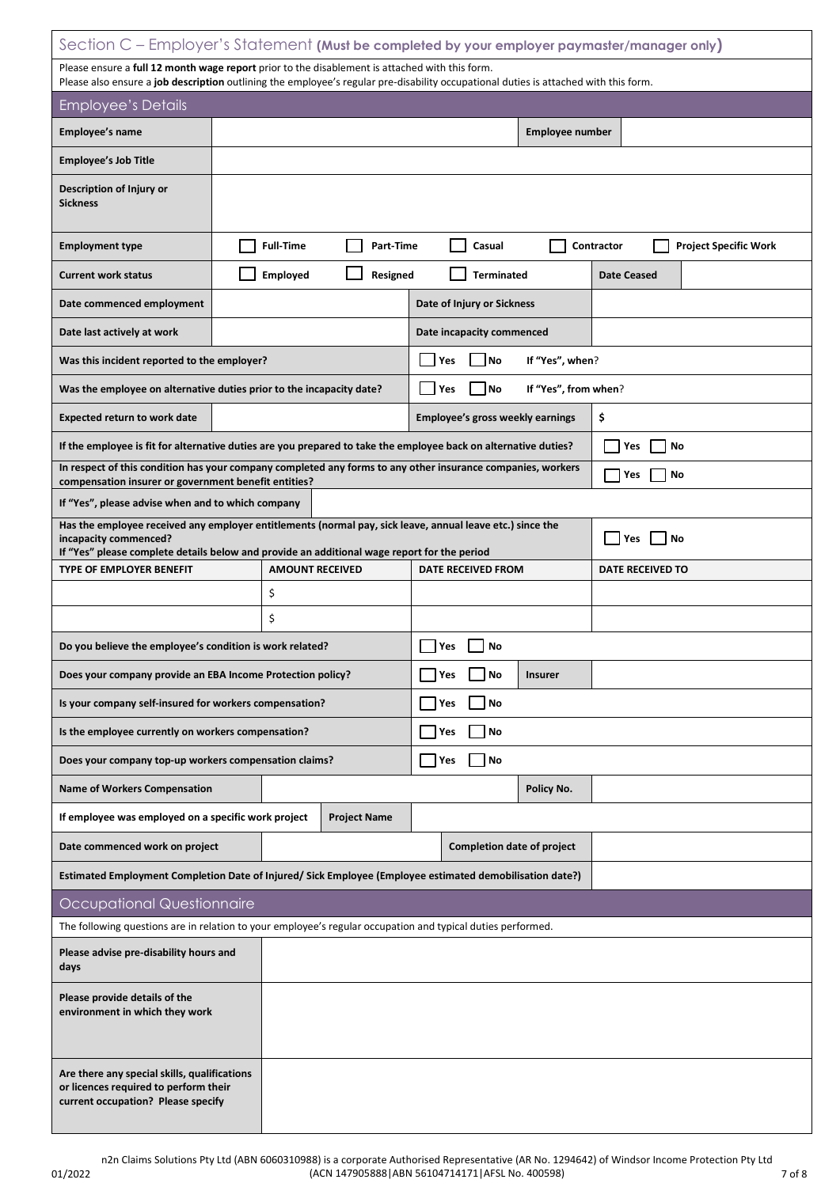| Section C - Employer's Statement (Must be completed by your employer paymaster/manager only)                                                                                                                                           |                                                                                                                 |                                          |                                            |  |  |  |  |
|----------------------------------------------------------------------------------------------------------------------------------------------------------------------------------------------------------------------------------------|-----------------------------------------------------------------------------------------------------------------|------------------------------------------|--------------------------------------------|--|--|--|--|
| Please ensure a full 12 month wage report prior to the disablement is attached with this form.<br>Please also ensure a job description outlining the employee's regular pre-disability occupational duties is attached with this form. |                                                                                                                 |                                          |                                            |  |  |  |  |
| <b>Employee's Details</b>                                                                                                                                                                                                              |                                                                                                                 |                                          |                                            |  |  |  |  |
| Employee's name                                                                                                                                                                                                                        |                                                                                                                 | <b>Employee number</b>                   |                                            |  |  |  |  |
| <b>Employee's Job Title</b>                                                                                                                                                                                                            |                                                                                                                 |                                          |                                            |  |  |  |  |
| Description of Injury or<br><b>Sickness</b>                                                                                                                                                                                            |                                                                                                                 |                                          |                                            |  |  |  |  |
| <b>Employment type</b>                                                                                                                                                                                                                 | <b>Full-Time</b><br>Part-Time                                                                                   | Casual                                   | Contractor<br><b>Project Specific Work</b> |  |  |  |  |
| <b>Current work status</b>                                                                                                                                                                                                             | Employed<br>Resigned                                                                                            | <b>Terminated</b>                        | <b>Date Ceased</b>                         |  |  |  |  |
| Date commenced employment                                                                                                                                                                                                              |                                                                                                                 | Date of Injury or Sickness               |                                            |  |  |  |  |
| Date last actively at work                                                                                                                                                                                                             |                                                                                                                 | Date incapacity commenced                |                                            |  |  |  |  |
| Was this incident reported to the employer?                                                                                                                                                                                            |                                                                                                                 | No<br>If "Yes", when?<br>Yes             |                                            |  |  |  |  |
|                                                                                                                                                                                                                                        | Was the employee on alternative duties prior to the incapacity date?                                            | If "Yes", from when?<br><b>No</b><br>Yes |                                            |  |  |  |  |
| <b>Expected return to work date</b>                                                                                                                                                                                                    |                                                                                                                 | Employee's gross weekly earnings         | \$                                         |  |  |  |  |
|                                                                                                                                                                                                                                        | If the employee is fit for alternative duties are you prepared to take the employee back on alternative duties? |                                          | No<br>Yes                                  |  |  |  |  |
| compensation insurer or government benefit entities?                                                                                                                                                                                   | In respect of this condition has your company completed any forms to any other insurance companies, workers     |                                          | No<br>Yes                                  |  |  |  |  |
| If "Yes", please advise when and to which company                                                                                                                                                                                      |                                                                                                                 |                                          |                                            |  |  |  |  |
| incapacity commenced?<br>If "Yes" please complete details below and provide an additional wage report for the period                                                                                                                   | Has the employee received any employer entitlements (normal pay, sick leave, annual leave etc.) since the       | No<br>Yes                                |                                            |  |  |  |  |
| TYPE OF EMPLOYER BENEFIT                                                                                                                                                                                                               | <b>AMOUNT RECEIVED</b>                                                                                          | <b>DATE RECEIVED FROM</b>                | <b>DATE RECEIVED TO</b>                    |  |  |  |  |
|                                                                                                                                                                                                                                        | \$                                                                                                              |                                          |                                            |  |  |  |  |
|                                                                                                                                                                                                                                        | \$                                                                                                              |                                          |                                            |  |  |  |  |
| Do you believe the employee's condition is work related?                                                                                                                                                                               |                                                                                                                 | Yes<br>No                                |                                            |  |  |  |  |
| Does your company provide an EBA Income Protection policy?                                                                                                                                                                             |                                                                                                                 | No<br><b>Insurer</b><br>Yes              |                                            |  |  |  |  |
| Is your company self-insured for workers compensation?                                                                                                                                                                                 |                                                                                                                 | No<br>Yes                                |                                            |  |  |  |  |
| Is the employee currently on workers compensation?                                                                                                                                                                                     |                                                                                                                 | No<br>Yes                                |                                            |  |  |  |  |
| Does your company top-up workers compensation claims?                                                                                                                                                                                  |                                                                                                                 | Yes<br>  No                              |                                            |  |  |  |  |
| <b>Name of Workers Compensation</b>                                                                                                                                                                                                    |                                                                                                                 | Policy No.                               |                                            |  |  |  |  |
| If employee was employed on a specific work project                                                                                                                                                                                    | <b>Project Name</b>                                                                                             |                                          |                                            |  |  |  |  |
| Date commenced work on project                                                                                                                                                                                                         |                                                                                                                 | <b>Completion date of project</b>        |                                            |  |  |  |  |
|                                                                                                                                                                                                                                        | Estimated Employment Completion Date of Injured/ Sick Employee (Employee estimated demobilisation date?)        |                                          |                                            |  |  |  |  |
| Occupational Questionnaire                                                                                                                                                                                                             |                                                                                                                 |                                          |                                            |  |  |  |  |
|                                                                                                                                                                                                                                        | The following questions are in relation to your employee's regular occupation and typical duties performed.     |                                          |                                            |  |  |  |  |
| Please advise pre-disability hours and<br>days                                                                                                                                                                                         |                                                                                                                 |                                          |                                            |  |  |  |  |
| Please provide details of the<br>environment in which they work                                                                                                                                                                        |                                                                                                                 |                                          |                                            |  |  |  |  |
| Are there any special skills, qualifications<br>or licences required to perform their<br>current occupation? Please specify                                                                                                            |                                                                                                                 |                                          |                                            |  |  |  |  |

7 of 8